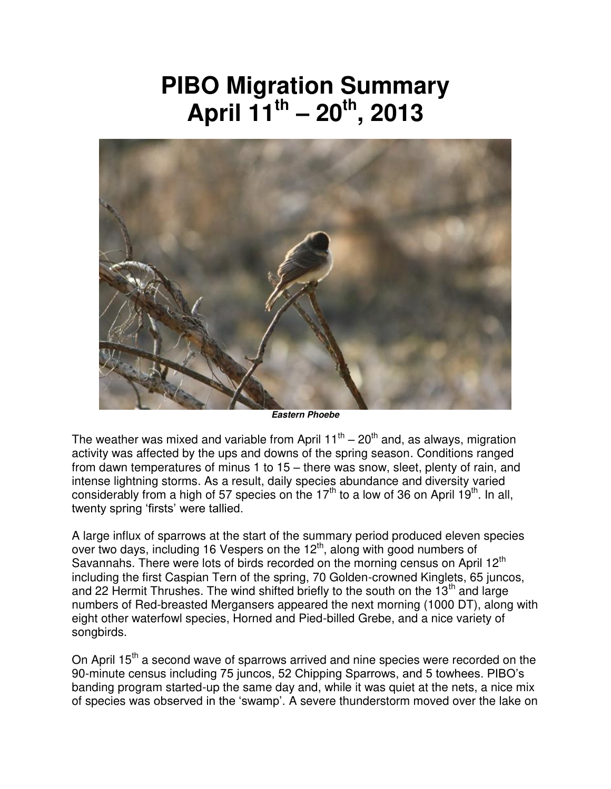## **PIBO Migration Summary April 11th – 20th, 2013**



*Eastern Phoebe* 

The weather was mixed and variable from April  $11^{\text{th}} - 20^{\text{th}}$  and, as always, migration activity was affected by the ups and downs of the spring season. Conditions ranged from dawn temperatures of minus 1 to 15 – there was snow, sleet, plenty of rain, and intense lightning storms. As a result, daily species abundance and diversity varied considerably from a high of 57 species on the 17<sup>th</sup> to a low of 36 on April 19<sup>th</sup>. In all, twenty spring 'firsts' were tallied.

A large influx of sparrows at the start of the summary period produced eleven species over two days, including 16 Vespers on the 12<sup>th</sup>, along with good numbers of Savannahs. There were lots of birds recorded on the morning census on April 12<sup>th</sup> including the first Caspian Tern of the spring, 70 Golden-crowned Kinglets, 65 juncos, and 22 Hermit Thrushes. The wind shifted briefly to the south on the  $13<sup>th</sup>$  and large numbers of Red-breasted Mergansers appeared the next morning (1000 DT), along with eight other waterfowl species, Horned and Pied-billed Grebe, and a nice variety of songbirds.

On April 15<sup>th</sup> a second wave of sparrows arrived and nine species were recorded on the 90-minute census including 75 juncos, 52 Chipping Sparrows, and 5 towhees. PIBO's banding program started-up the same day and, while it was quiet at the nets, a nice mix of species was observed in the 'swamp'. A severe thunderstorm moved over the lake on